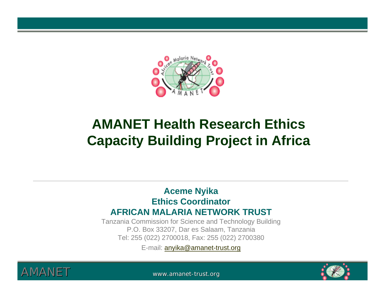

#### **AMANET Health Research Ethics Capacity Building Project in Africa**

#### **Aceme Nyika Ethics CoordinatorAFRICAN MALARIA NETWORK TRUST**

Tanzania Commission for Science and Technology Building P.O. Box 33207, Dar es Salaam, Tanzania Tel: 255 (022) 2700018, Fax: 255 (022) 2700380

E-mail: anyika@amanet-trust.org



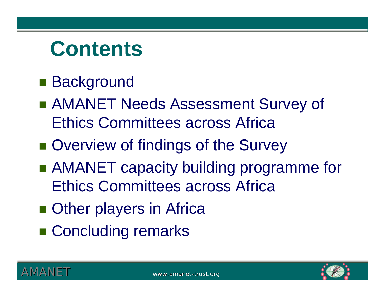# **Contents**

### ■ Background

- AMANET Needs Assessment Survey of Ethics Committees across Africa
- $\blacksquare$  Overview of findings of the Survey
- AMANET capacity building programme for Ethics Committees across Africa
- **Other players in Africa**
- Concluding remarks



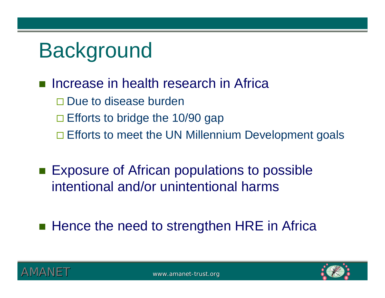# **Background**

#### $\overline{\mathcal{L}^{\mathcal{A}}}$ Increase in health research in Africa

- □ Due to disease burden
- $\square$  Efforts to bridge the 10/90 gap
- □ Efforts to meet the UN Millennium Development goals
- **Exposure of African populations to possible** intentional and/or unintentional harms
- **Hence the need to strengthen HRE in Africa**



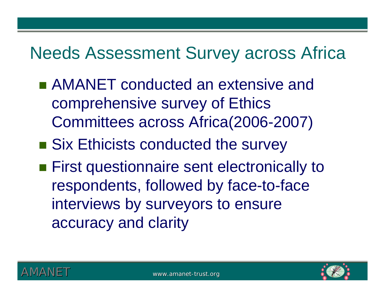## Needs Assessment Survey across Africa

- AMANET conducted an extensive and comprehensive survey of Ethics Committees across Africa(2006-2007)
- **Six Ethicists conducted the survey**
- **First questionnaire sent electronically to** respondents, followed by face-to-face interviews by surveyors to ensure accuracy and clarity



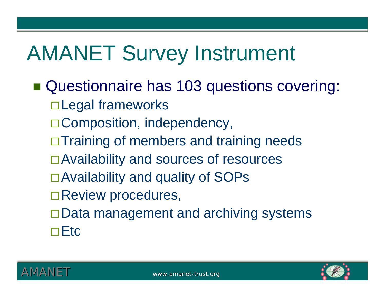# AMANET Survey Instrument

**Questionnaire has 103 questions covering:** □ Legal frameworks □ Composition, independency,  $\Box$  Training of members and training needs □ Availability and sources of resources □ Availability and quality of SOPs □Review procedures, □ Data management and archiving systems  $\Box$ Etc

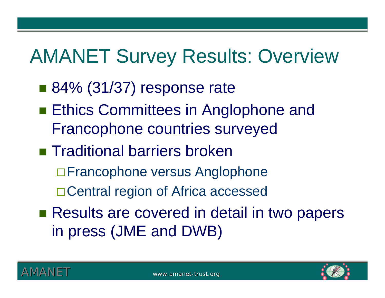## AMANET Survey Results: Overview

- 84% (31/37) response rate
- **Ethics Committees in Anglophone and** Francophone countries surveyed
- **Traditional barriers broken** 
	- □ Francophone versus Anglophone
	- □ Central region of Africa accessed
- Results are covered in detail in two papers in press (JME and DWB)

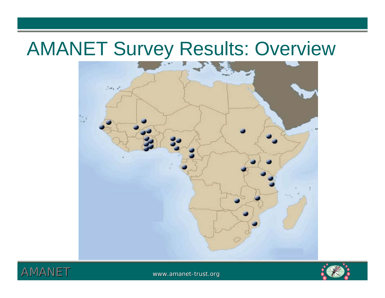## AMANET Survey Results: Overview





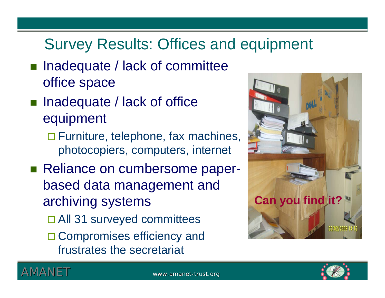### Survey Results: Offices and equipment

- Inadequate / lack of committee office space
- Inadequate / lack of office equipment
	- □ Furniture, telephone, fax machines, photocopiers, computers, internet
- Reliance on cumbersome paperbased data management and archiving systems
	- □ All 31 surveyed committees
	- □ Compromises efficiency and frustrates the secretariat







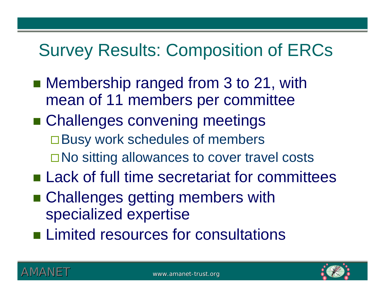## Survey Results: Composition of ERCs

- Membership ranged from 3 to 21, with mean of 11 members per committee
- **Example Challenges convening meetings** □ Busy work schedules of members □ No sitting allowances to cover travel costs
- **Lack of full time secretariat for committees**
- Challenges getting members with specialized expertise
- **Example Limited resources for consultations**



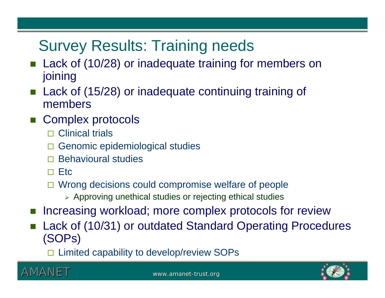### Survey Results: Training needs

- F. Lack of (10/28) or inadequate training for members on joining
- F. Lack of (15/28) or inadequate continuing training of members
- F. Complex protocols
	- □ Clinical trials
	- $\Box$ Genomic epidemiological studies
	- $\Box$ Behavioural studies
	- $\square$  Etc
	- □ Wrong decisions could compromise welfare of people
		- ¾ Approving unethical studies or rejecting ethical studies
- F. Increasing workload; more complex protocols for review
- F. Lack of (10/31) or outdated Standard Operating Procedures (SOPs)
	- □ Limited capability to develop/review SOPs



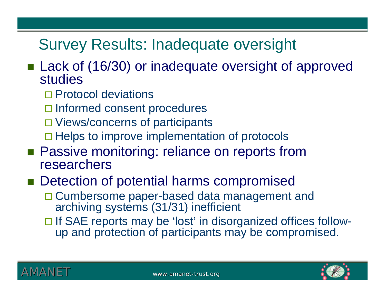#### Survey Results: Inadequate oversight

- Lack of (16/30) or inadequate oversight of approved studies
	- □ Protocol deviations
	- □ Informed consent procedures
	- □ Views/concerns of participants
	- □ Helps to improve implementation of protocols
- **Passive monitoring: reliance on reports from** researchers

#### **Detection of potential harms compromised**

- □ Cumbersome paper-based data management and archiving systems (31/31) inefficient
- □ If SAE reports may be 'lost' in disorganized offices followup and protection of participants may be compromised.





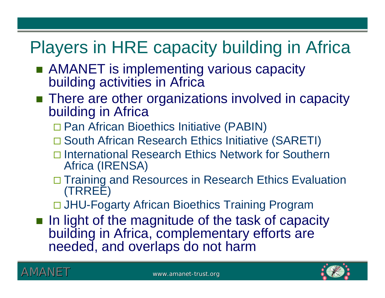## Players in HRE capacity building in Africa

- AMANET is implementing various capacity building activities in Africa
- **There are other organizations involved in capacity** building in Africa
	- □ Pan African Bioethics Initiative (PABIN)
	- □ South African Research Ethics Initiative (SARETI)
	- □ International Research Ethics Network for Southern Africa (IRENSA)
	- □ Training and Resources in Research Ethics Evaluation (TRREE)
	- □ JHU-Fogarty African Bioethics Training Program
- **Iolee 1** In light of the magnitude of the task of capacity building in Africa, complementary efforts are needed, and overlaps do not harm



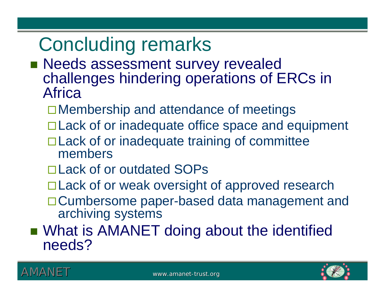## Concluding remarks

- **Needs assessment survey revealed** challenges hindering operations of ERCs in Africa
	- Membership and attendance of meetings
	- □ Lack of or inadequate office space and equipment
	- □ Lack of or inadequate training of committee members
	- □ Lack of or outdated SOPs
	- □ Lack of or weak oversight of approved research
	- □ Cumbersome paper-based data management and archiving systems
- **No. 2018 In AMANET doing about the identified Interpolle** needs?